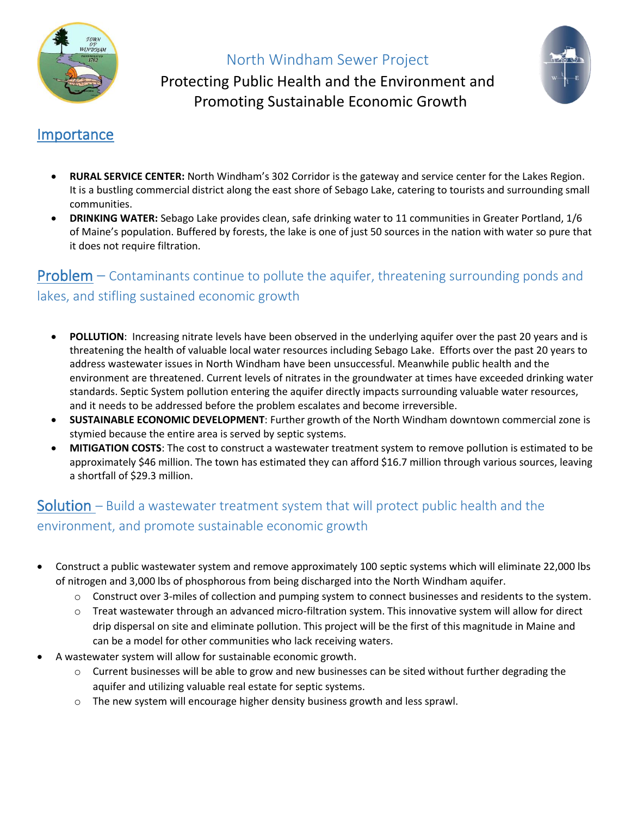

#### North Windham Sewer Project



Protecting Public Health and the Environment and Promoting Sustainable Economic Growth

#### Importance

- **RURAL SERVICE CENTER:** North Windham's 302 Corridor is the gateway and service center for the Lakes Region. It is a bustling commercial district along the east shore of Sebago Lake, catering to tourists and surrounding small communities.
- **DRINKING WATER:** Sebago Lake provides clean, safe drinking water to 11 communities in Greater Portland, 1/6 of Maine's population. Buffered by forests, the lake is one of just 50 sources in the nation with water so pure that it does not require filtration.

## **Problem**  $-$  Contaminants continue to pollute the aquifer, threatening surrounding ponds and lakes, and stifling sustained economic growth

- **POLLUTION**: Increasing nitrate levels have been observed in the underlying aquifer over the past 20 years and is threatening the health of valuable local water resources including Sebago Lake. Efforts over the past 20 years to address wastewater issues in North Windham have been unsuccessful. Meanwhile public health and the environment are threatened. Current levels of nitrates in the groundwater at times have exceeded drinking water standards. Septic System pollution entering the aquifer directly impacts surrounding valuable water resources, and it needs to be addressed before the problem escalates and become irreversible.
- **SUSTAINABLE ECONOMIC DEVELOPMENT**: Further growth of the North Windham downtown commercial zone is stymied because the entire area is served by septic systems.
- **MITIGATION COSTS**: The cost to construct a wastewater treatment system to remove pollution is estimated to be approximately \$46 million. The town has estimated they can afford \$16.7 million through various sources, leaving a shortfall of \$29.3 million.

### **Solution** – Build a wastewater treatment system that will protect public health and the environment, and promote sustainable economic growth

- Construct a public wastewater system and remove approximately 100 septic systems which will eliminate 22,000 lbs of nitrogen and 3,000 lbs of phosphorous from being discharged into the North Windham aquifer.
	- $\circ$  Construct over 3-miles of collection and pumping system to connect businesses and residents to the system.
	- o Treat wastewater through an advanced micro-filtration system. This innovative system will allow for direct drip dispersal on site and eliminate pollution. This project will be the first of this magnitude in Maine and can be a model for other communities who lack receiving waters.
- A wastewater system will allow for sustainable economic growth.
	- $\circ$  Current businesses will be able to grow and new businesses can be sited without further degrading the aquifer and utilizing valuable real estate for septic systems.
	- o The new system will encourage higher density business growth and less sprawl.